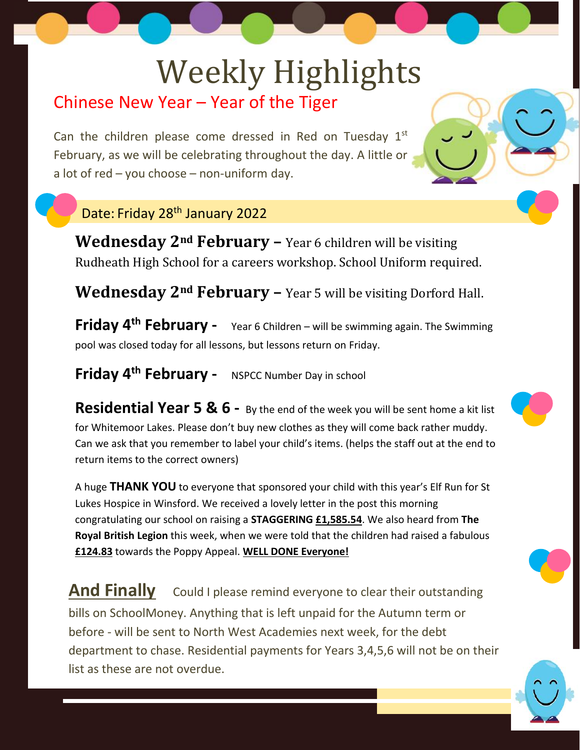# Weekly Highlights

## Chinese New Year – Year of the Tiger

Can the children please come dressed in Red on Tuesday  $1<sup>st</sup>$ February, as we will be celebrating throughout the day. A little or a lot of red – you choose – non-uniform day.

#### Date: Friday 28th January 2022

**Wednesday 2nd February –** Year 6 children will be visiting Rudheath High School for a careers workshop. School Uniform required.

**Wednesday 2nd February –** Year 5 will be visiting Dorford Hall.

**Friday 4th February -** Year 6 Children – will be swimming again. The Swimming pool was closed today for all lessons, but lessons return on Friday.

## **Friday 4th February -** NSPCC Number Day in school

**Residential Year 5 & 6 -** By the end of the week you will be sent home a kit list for Whitemoor Lakes. Please don't buy new clothes as they will come back rather muddy. Can we ask that you remember to label your child's items. (helps the staff out at the end to return items to the correct owners)

A huge **THANK YOU** to everyone that sponsored your child with this year's Elf Run for St Lukes Hospice in Winsford. We received a lovely letter in the post this morning congratulating our school on raising a **STAGGERING £1,585.54**. We also heard from **The Royal British Legion** this week, when we were told that the children had raised a fabulous **£124.83** towards the Poppy Appeal. **WELL DONE Everyone!**

And Finally Could I please remind everyone to clear their outstanding bills on SchoolMoney. Anything that is left unpaid for the Autumn term or before - will be sent to North West Academies next week, for the debt department to chase. Residential payments for Years 3,4,5,6 will not be on their list as these are not overdue.